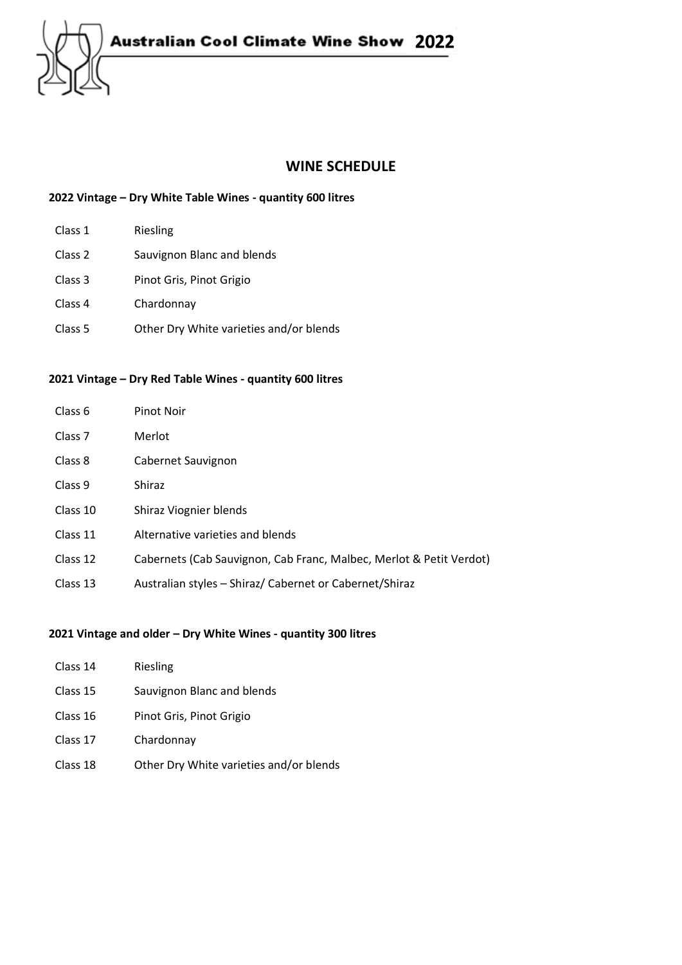

## **WINE SCHEDULE**

### **2022 Vintage – Dry White Table Wines - quantity 600 litres**

- Class 1 Riesling
- Class 2 Sauvignon Blanc and blends
- Class 3 Pinot Gris, Pinot Grigio
- Class 4 Chardonnay
- Class 5 Other Dry White varieties and/or blends

#### **2021 Vintage – Dry Red Table Wines - quantity 600 litres**

| Class 6            | Pinot Noir                                                          |
|--------------------|---------------------------------------------------------------------|
| Class <sub>7</sub> | Merlot                                                              |
| Class 8            | Cabernet Sauvignon                                                  |
| Class <sub>9</sub> | Shiraz                                                              |
| Class 10           | Shiraz Viognier blends                                              |
| Class 11           | Alternative varieties and blends                                    |
| Class 12           | Cabernets (Cab Sauvignon, Cab Franc, Malbec, Merlot & Petit Verdot) |
| Class 13           | Australian styles - Shiraz/ Cabernet or Cabernet/Shiraz             |

#### **2021 Vintage and older – Dry White Wines - quantity 300 litres**

| Class 14 | Riesling                                |
|----------|-----------------------------------------|
| Class 15 | Sauvignon Blanc and blends              |
| Class 16 | Pinot Gris, Pinot Grigio                |
| Class 17 | Chardonnay                              |
| Class 18 | Other Dry White varieties and/or blends |